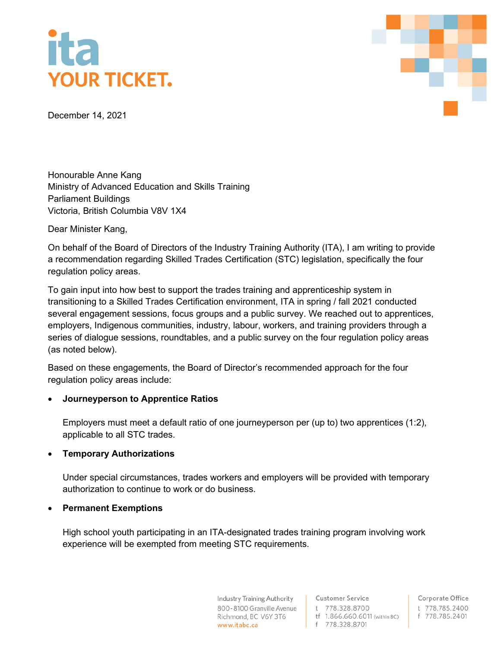# **YOUR TICKET.**



December 14, 2021

Honourable Anne Kang Ministry of Advanced Education and Skills Training Parliament Buildings Victoria, British Columbia V8V 1X4

Dear Minister Kang,

On behalf of the Board of Directors of the Industry Training Authority (ITA), I am writing to provide a recommendation regarding Skilled Trades Certification (STC) legislation, specifically the four regulation policy areas.

To gain input into how best to support the trades training and apprenticeship system in transitioning to a Skilled Trades Certification environment, ITA in spring / fall 2021 conducted several engagement sessions, focus groups and a public survey. We reached out to apprentices, employers, Indigenous communities, industry, labour, workers, and training providers through a series of dialogue sessions, roundtables, and a public survey on the four regulation policy areas (as noted below).

Based on these engagements, the Board of Director's recommended approach for the four regulation policy areas include:

# • **Journeyperson to Apprentice Ratios**

Employers must meet a default ratio of one journeyperson per (up to) two apprentices (1:2), applicable to all STC trades.

### • **Temporary Authorizations**

Under special circumstances, trades workers and employers will be provided with temporary authorization to continue to work or do business.

### • **Permanent Exemptions**

High school youth participating in an ITA-designated trades training program involving work experience will be exempted from meeting STC requirements.

> **Industry Training Authority** 800-8100 Granville Avenue Richmond, BC V6Y 3T6 www.itabc.ca

**Customer Service** t 778.328.8700 tf 1.866.660.6011 (within BC) f 778.328.8701

Corporate Office t 778.785.2400 f 778.785.2401